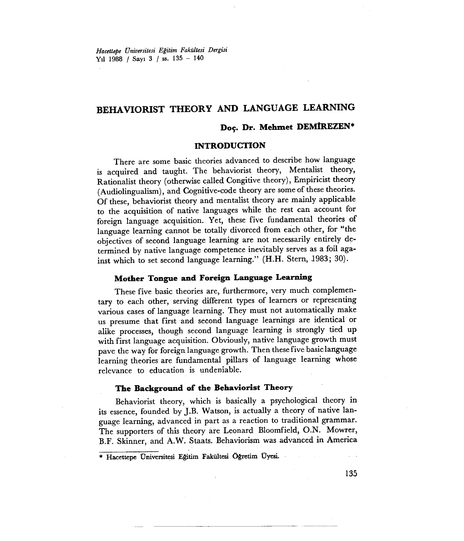*Hacettepe Vniversitesi Eğitim Fakültesi Dergisi* Yıl <sup>1988</sup> *i* Sayı <sup>3</sup> *i* ss. <sup>135</sup> - <sup>140</sup>

# **BEHAVIORIST THEORY AND LANGUAGE LEARNING**

### **Doç. Dr. Mehuıet DEMİREZEN\***

### **INTRODUCTION**

There are some basic theories advanced to deseribe how language is acquired and taught. The behaviorist theory, Mentalist theory, Rationalist theory (otherwise calIed Congitive theory), Empiricist theory (Audiolingualism), and Cognitive-code theory are some of these theories. Of these, behaviorist theory and mentalist theory are mainly applicable to the acquisition of native languages while the rest can account for foreign language acquisition. Yet, these five fundamental theories of language leaming cannot be totalIy divorced from each other, for "the objectives of second language learning are not necessarily entirely determined by natiye language competence inevitably serves as a foil against which to set second language learning." (H.H. Stern, 1983; 30).

### **Mother Tongue and Foreign Language Learning**

These five basic theories are, furthermore, very much complementary to each other, serving different types of learners or representing various cases of language leaming. They must not automaticalIy make us presume that first and second language learnings are identical or alike processes, though second language leaming is strongly tied up with first language acquisition. Obviously, native language growth must pave the way for foreign language growth. Then these five basiclanguage leaming theories are fundamental pillars of language leaming whose relevance to education is undeniable.

#### **The Background of the Behaviorist Theory**

Behaviorist theory, which is basicalIy a psychological theory in its essence, founded by J.B. Watson, is actualIy a theory of native language learning, advanced in part as a reaction to traditional grammar. The supporters of this theory are Leonard Bloomfield, O.N. Mowrer, B.F. Skinner, and A.W. Staats. Behaviorism was advanced in America

\* Hacettepe Üniversitesi Eğitim Fakültesi Öğretim Üyesi

135

~--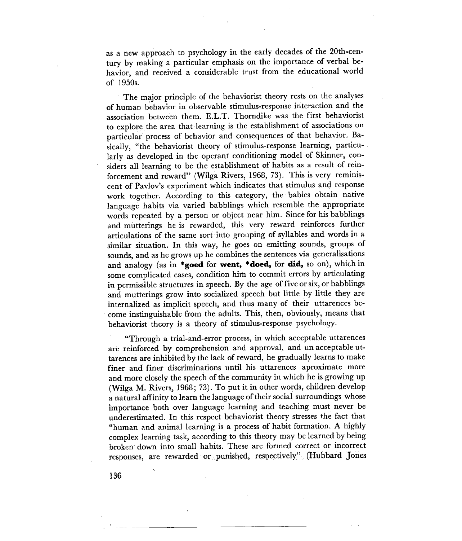as a new approach to psychology in the early decades of the 20th-century by making a particular emphasis on the importance of verbal behavior, and received a considerable trust from the educational world of 1950s.

The major principle of the behaviorist theory rests on the analyses of human behavior in observable stimulus-response interaction and the association between them. E.L.T. Thorndike was the first behaviorist to explore the area that learning is the establishment of associations on particular process of behavior and consequences of that behavior. Basically, "the behaviorist theory of stimulus-response learning, particularly as developed in the operant conditioning model of Skinner, considers all learning to be the establishment of habits as a result of reinforeement and reward" (Wilga Rivers, 1968, 73). This is very reminiscent of Pavlov's experiment which indicates that stimulus and response work together. According to this category, the babies obtain native language habits via varied babblings which resemble the appropriate words repeated by a person or object near him. Since for his babblings and mutterings he is rewarded, this very reward reinforces further articulations of the same sort into grouping of syllables and words in a similar situation. In this way, he goes on emitting sounds, groups of sounds, and as he grows up he combines the sentences via generalisations and analogy (as in **\*goed** for **went, \*doed,** for **did,** so on), which in some complicated cases, condition him to commit errors by articulating in permissible structures in speech. By the age of five or six, or babblings and mutterings grow into socialized speech but little by little they are internalized as implicit speech, and thus many of their uttarences become instinguishable from the adults. This, then, obviously, means that behaviörist theory is a theory of stimulus-response psychology.

"Through a trial-and-error process, in which acceptable uttarences are reinforced by comprehension and approval, and un acceptable uttarences are inhibited by the lack of reward, he gradually learns to make finer and finer discriminations until his uttarences aproximate more and more closely the speech of the community in which he is growing up (Wilga M. Rivers, 1968; 73). To put it in other words, children develop a natural affinity to learn the language of their social surroundings whose importance both over language learning and teaching must never be underestimated. In this respect behaviorist theory stresses the fact that "human and animal learning is a process of habit formation. A highly complex learning task, according to this theory may be learned by being broken' down into smaIl habits. These are formed correct or incorrect responses, are rewarded or punished, respectively" (Hubbard Jones

-----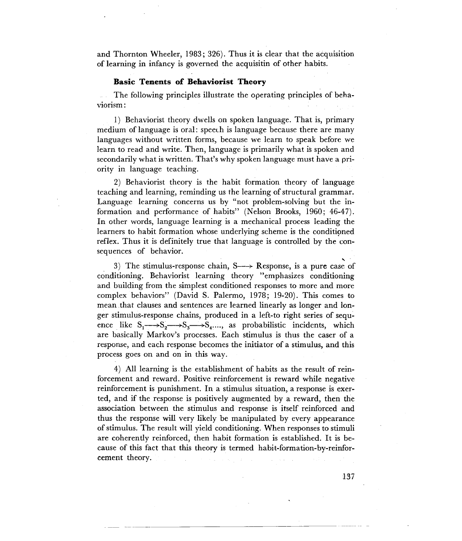and Thornton Wheeler, 1983; 326). Thus it is clear that the acquisition of learning in infancy is governed the acquisitin of other habits.

#### **Basic Tenents of Behaviorist Theory**

The following principles illustrate the operating principles of behaviorism:

1) Behaviorist theory dwells on spoken language. That is, primary medium of language is oral: speech is language because there are many languages without written forms, because we learn to speak before we learn to read and write. Then, language is primarily what is spoken and secondarily what is written. That's why spoken language must have a priority in language teaching.

2) Behaviorist theory is the habit formation theory of language teaching and learning, reminding us the learning of structural grammar. Language learning concerns us by "not problem-solving but the information and performance of habits" (Nelson Brooks, 1960; 46-47). In other words, language learning is a mechanical process leading the learners to habit formation whose underlying scheme is the conditioned reflex. Thus it is definitely true that language is controlled by the consequences of behavior.

3) The stimulus-response chain,  $S \rightarrow Respose$ , is a pure case of conditioning. Behaviorist learning theory "emphasizes conditioning" and building from the simplest conditioned responses to more and more complex behaviors" (David S. Palermo, 1978; 19-20). This comes to mean that clauses and sentences are learned linearly as longer and longer stimulus-response chains, produced in a left-to right series of sequence like  $S_1 \rightarrow S_2 \rightarrow S_3 \rightarrow S_4 \dots$ , as probabilistic incidents, which are basically Markov's processes. Each stimulus is thus the caser of a response, and each response becomes the initiator of a stimulus, and this process goes on and on in this way.

4) All learning is the establishment of habits as the result of reinforcement and reward. Positive reinforcement is reward while negative reinforcement is punishment. In a stimulus situation, a response is exerted, and if the response is positively augmented by a reward, then the association between the stimulus and response is itself reinforced and thus the response will very likely be manipulated by every appearance of stimulus. The result will yield conditioning. When responses to stimuli are coherently reinforced, then habit formation is established. It is because of this fact that this theory is termed habit-formation-by-reinforcement theory.

137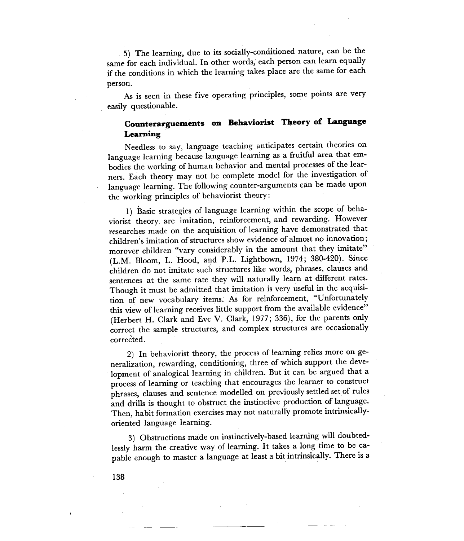5) The leaming, due to its socially-eonditioned nature, can be the same for each individual. In other words, each person can learn equally if the eonditions in which the leaming takes plaee are the same for eaeh person.

As is seen in these five operating principles, some points are very easily questionable.

## **Counteragms on Behaviorist Theory of Language Learning**

Ne€dless to say, language teaehing anticipates eertain theories on language learning because language learning as a fruitful area that embodies the working of human behavior and mental processes of the learners. Eaeh theory may not be eomplete model for the invcstigation of language leaming. The following eounter-arguments çan be made upon the working principles of behaviorist theory:

1) Basic strategies of language leaming within the seope of behaviorist theory are imitation, reinforeement, and rewarding. However researches made on the acquisition of learning have demonstrated that children's imitation of structures show evidence of almost no innovation; morover children "vary eonsiderably in the amount that they imitate" (L.M. Bloom, L. Hood, and P.L. Lightbown, 1974; 380-420). Since *<sup>i</sup>* children do not imitate such structures like words, phrases, clauses and sentenees at the same rate they will naturally learn at different rates. Though it must be admitted that imitation is very useful in the acquisition of new voeabulary items. As for reinforeement, "Unfortunately this view of learning receives little support from the available evidence" (Herbert H. Clark and Eve V. Clark, 1977; 336), for the parents only correct the sample structures, and complex structures are occasionally corrected.

2) In behaviorist theory, the process of leaming relies more on generalization, rewarding, eonditioning, three öf which support the development of analogical leaming in children. But it can be argued that a process of learning or teaching that encourages the learner to construct phrases, clauses and sentence modelled on previously settled set of rules and drills is thought to obstruct the instinctive production of language. Then, habit formation exercises may not naturally promote intrinsicallyoriented language leaming.

3) Obstruetions made on instinetively-based leaming will doubtedlessly harm the creative way of learning. It takes a long time to be capable enough to master a language at least a bit intrinsically. There is a

138

 $- -$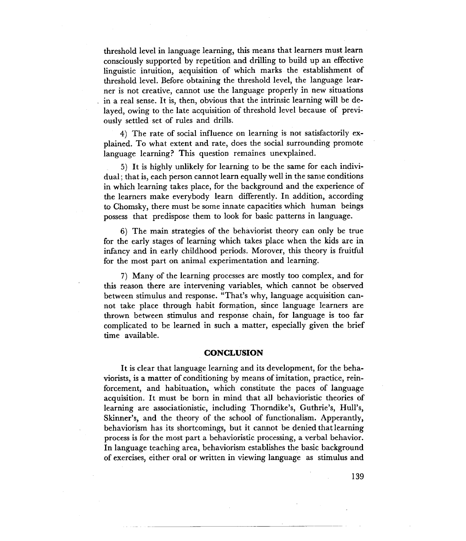threshold level in language leaming, this means that leamers must leam consciously supported by repetition and drilling to build up an effective linguistic intuition, acquisition of which marks the establishment of threshold leveL. Before obtaining the threshold level, the language learner is not creative, cannot use the language properly in new situations in a real sense. It is, then, obvious that the intrinsic learning will be delayed, owing to the Iate acquisition of threshold level because of previously setded set of rules and drills.

4) The rate of social influence pn leaming is not satisfactorily explained. To what extent and rate, does the social surrounding promote language leaming? This question remaines unexplained.

5) It is highly unlikely for leaming to be the same for each individual; that is, each person cannot leam equally well in the same conditions in which leaming takes place, for the background and the experience of the leamers make everybody leam differently. In addition, according to Chomsky, there must be some innate capacities which human beings possess that predispose them to look for basic pattems in language.

6) The main strategies of the behaviorist theory can only be true for the early stages of leaming which takes place when the kids are in infancy and İn early childhood periods. Morover, this theory is fruitful for the most part on animal experimentation and leaming.

7) Many of the leaming processes are mostly too complex, and for this reason there are intervening variables, which cannot be observed between stimulus and response. "That's why, language acquisition cannot take place through habit formation, since language leamers are thrown between stimulus and response chain, for language is too far complicated to be leamed in such amatter, especially given the brief time available.

#### **CONCLUSION**

It is clear that language learning and its development, for the behaviorists, is amatter of conditioning by means of imitation., practice, reinforcement, and habituation, which constitute the paces of language acquisition. It must be bom in mind that all behavioristic theories of leaming are associationistic, including Thorndike's, Guthrie's, Hull's, Skinner's, and the theory of the school of functionalism. Apperantly, behaviorism has its shortcomings, but it cannot be denied thatleaming process is for the most part a behavioristic processing, a verbal behavior. In language teaching area, behaviorism establishes the basic background of exercises, either oral or written in viewing language as stimulus and